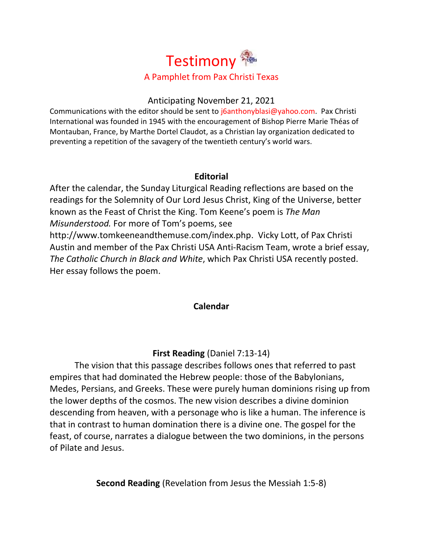

# Anticipating November 21, 2021

Communications with the editor should be sent to  $i\delta$ anthonyblasi@yahoo.com. Pax Christi International was founded in 1945 with the encouragement of Bishop Pierre Marie Théas of Montauban, France, by Marthe Dortel Claudot, as a Christian lay organization dedicated to preventing a repetition of the savagery of the twentieth century's world wars.

# **Editorial**

After the calendar, the Sunday Liturgical Reading reflections are based on the readings for the Solemnity of Our Lord Jesus Christ, King of the Universe, better known as the Feast of Christ the King. Tom Keene's poem is *The Man Misunderstood.* For more of Tom's poems, see [http://www.tomkeeneandthemuse.com/index.php.](http://www.tomkeeneandthemuse.com/index.php) Vicky Lott, of Pax Christi Austin and member of the Pax Christi USA Anti-Racism Team, wrote a brief essay, *The Catholic Church in Black and White*, which Pax Christi USA recently posted. Her essay follows the poem.

# **Calendar**

# **First Reading** (Daniel 7:13-14)

The vision that this passage describes follows ones that referred to past empires that had dominated the Hebrew people: those of the Babylonians, Medes, Persians, and Greeks. These were purely human dominions rising up from the lower depths of the cosmos. The new vision describes a divine dominion descending from heaven, with a personage who is like a human. The inference is that in contrast to human domination there is a divine one. The gospel for the feast, of course, narrates a dialogue between the two dominions, in the persons of Pilate and Jesus.

**Second Reading** (Revelation from Jesus the Messiah 1:5-8)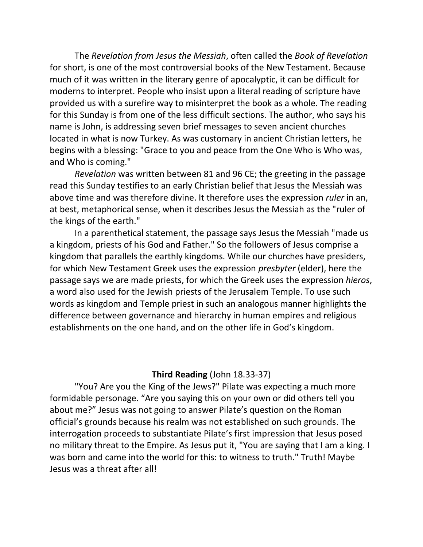The *Revelation from Jesus the Messiah*, often called the *Book of Revelation* for short, is one of the most controversial books of the New Testament. Because much of it was written in the literary genre of apocalyptic, it can be difficult for moderns to interpret. People who insist upon a literal reading of scripture have provided us with a surefire way to misinterpret the book as a whole. The reading for this Sunday is from one of the less difficult sections. The author, who says his name is John, is addressing seven brief messages to seven ancient churches located in what is now Turkey. As was customary in ancient Christian letters, he begins with a blessing: "Grace to you and peace from the One Who is Who was, and Who is coming."

*Revelation* was written between 81 and 96 CE; the greeting in the passage read this Sunday testifies to an early Christian belief that Jesus the Messiah was above time and was therefore divine. It therefore uses the expression *ruler* in an, at best, metaphorical sense, when it describes Jesus the Messiah as the "ruler of the kings of the earth."

In a parenthetical statement, the passage says Jesus the Messiah "made us a kingdom, priests of his God and Father." So the followers of Jesus comprise a kingdom that parallels the earthly kingdoms. While our churches have presiders, for which New Testament Greek uses the expression *presbyter* (elder), here the passage says we are made priests, for which the Greek uses the expression *hieros*, a word also used for the Jewish priests of the Jerusalem Temple. To use such words as kingdom and Temple priest in such an analogous manner highlights the difference between governance and hierarchy in human empires and religious establishments on the one hand, and on the other life in God's kingdom.

### **Third Reading** (John 18.33-37)

"You? Are you the King of the Jews?" Pilate was expecting a much more formidable personage. "Are you saying this on your own or did others tell you about me?" Jesus was not going to answer Pilate's question on the Roman official's grounds because his realm was not established on such grounds. The interrogation proceeds to substantiate Pilate's first impression that Jesus posed no military threat to the Empire. As Jesus put it, "You are saying that I am a king. I was born and came into the world for this: to witness to truth." Truth! Maybe Jesus was a threat after all!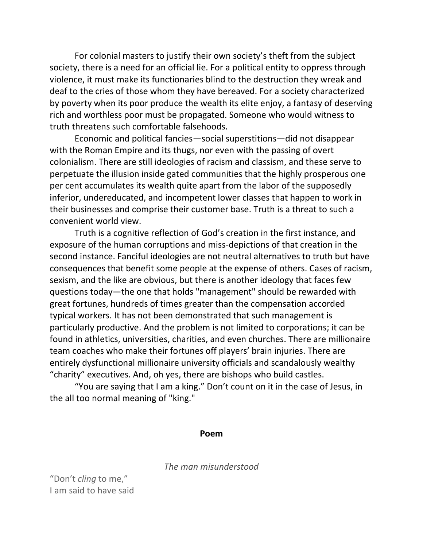For colonial masters to justify their own society's theft from the subject society, there is a need for an official lie. For a political entity to oppress through violence, it must make its functionaries blind to the destruction they wreak and deaf to the cries of those whom they have bereaved. For a society characterized by poverty when its poor produce the wealth its elite enjoy, a fantasy of deserving rich and worthless poor must be propagated. Someone who would witness to truth threatens such comfortable falsehoods.

Economic and political fancies—social superstitions—did not disappear with the Roman Empire and its thugs, nor even with the passing of overt colonialism. There are still ideologies of racism and classism, and these serve to perpetuate the illusion inside gated communities that the highly prosperous one per cent accumulates its wealth quite apart from the labor of the supposedly inferior, undereducated, and incompetent lower classes that happen to work in their businesses and comprise their customer base. Truth is a threat to such a convenient world view.

Truth is a cognitive reflection of God's creation in the first instance, and exposure of the human corruptions and miss-depictions of that creation in the second instance. Fanciful ideologies are not neutral alternatives to truth but have consequences that benefit some people at the expense of others. Cases of racism, sexism, and the like are obvious, but there is another ideology that faces few questions today—the one that holds "management" should be rewarded with great fortunes, hundreds of times greater than the compensation accorded typical workers. It has not been demonstrated that such management is particularly productive. And the problem is not limited to corporations; it can be found in athletics, universities, charities, and even churches. There are millionaire team coaches who make their fortunes off players' brain injuries. There are entirely dysfunctional millionaire university officials and scandalously wealthy "charity" executives. And, oh yes, there are bishops who build castles.

"You are saying that I am a king." Don't count on it in the case of Jesus, in the all too normal meaning of "king."

#### **Poem**

*The man misunderstood*

"Don't *cling* to me," I am said to have said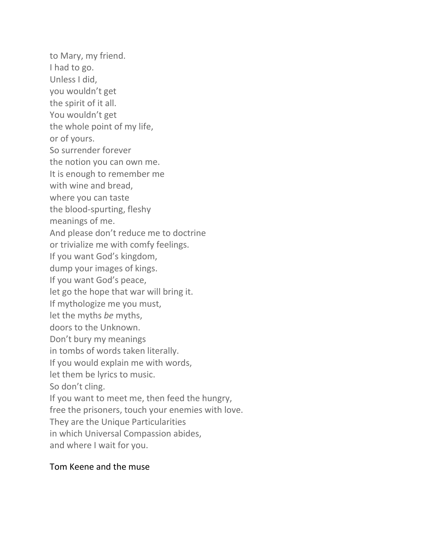to Mary, my friend. I had to go. Unless I did, you wouldn't get the spirit of it all. You wouldn't get the whole point of my life, or of yours. So surrender forever the notion you can own me. It is enough to remember me with wine and bread, where you can taste the blood-spurting, fleshy meanings of me. And please don't reduce me to doctrine or trivialize me with comfy feelings. If you want God's kingdom, dump your images of kings. If you want God's peace, let go the hope that war will bring it. If mythologize me you must, let the myths *be* myths, doors to the Unknown. Don't bury my meanings in tombs of words taken literally. If you would explain me with words, let them be lyrics to music. So don't cling. If you want to meet me, then feed the hungry, free the prisoners, touch your enemies with love. They are the Unique Particularities in which Universal Compassion abides, and where I wait for you.

# Tom Keene and the muse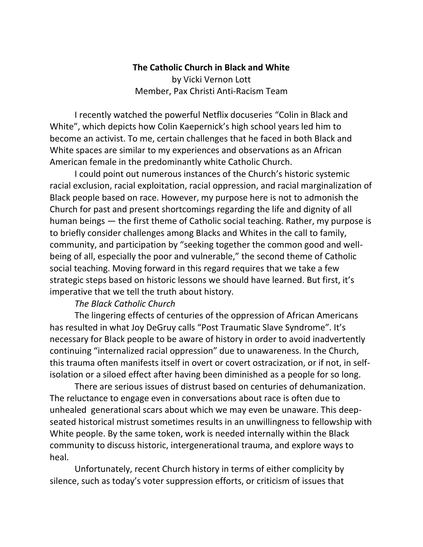# **The Catholic Church in Black and White** by Vicki Vernon Lott Member, Pax Christi Anti-Racism Team

I recently watched the powerful Netflix docuseries ["Colin in Black and](https://www.netflix.com/title/80244479)  [White",](https://www.netflix.com/title/80244479) which depicts how Colin Kaepernick's high school years led him to become an activist. To me, certain challenges that he faced in both Black and White spaces are similar to my experiences and observations as an African American female in the predominantly white Catholic Church.

I could point out numerous instances of the Church's historic systemic racial exclusion, racial exploitation, racial oppression, and racial marginalization of Black people based on race. However, my purpose here is not to admonish the Church for past and present shortcomings regarding the life and dignity of all human beings — the first theme of Catholic social teaching. Rather, my purpose is to briefly consider challenges among Blacks and Whites in the call to family, community, and participation by "seeking together the common good and wellbeing of all, especially the poor and vulnerable," the second theme of Catholic social teaching. Moving forward in this regard requires that we take a few strategic steps based on historic lessons we should have learned. But first, it's imperative that we tell the truth about history.

# *The Black Catholic Church*

The lingering effects of centuries of the oppression of African Americans has resulted in what Joy DeGruy calls "Post Traumatic Slave Syndrome". It's necessary for Black people to be aware of history in order to avoid inadvertently continuing "internalized racial oppression" due to unawareness. In the Church, this trauma often manifests itself in overt or covert ostracization, or if not, in selfisolation or a siloed effect after having been diminished as a people for so long.

There are serious issues of distrust based on centuries of dehumanization. The reluctance to engage even in conversations about race is often due to unhealed generational scars about which we may even be unaware. This deepseated historical mistrust sometimes results in an unwillingness to fellowship with White people. By the same token, work is needed internally within the Black community to discuss historic, intergenerational trauma, and explore ways to heal.

Unfortunately, recent Church history in terms of either complicity by silence, such as today's voter suppression efforts, or criticism of issues that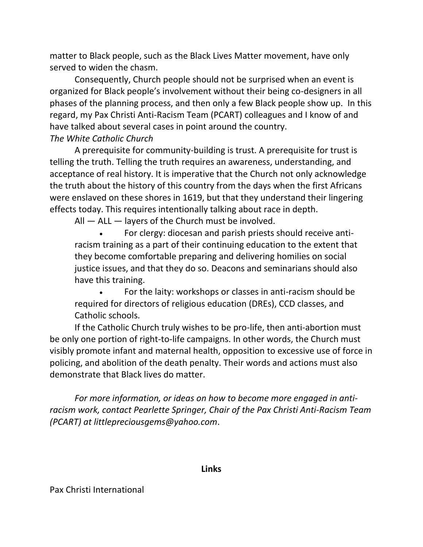matter to Black people, such as the Black Lives Matter movement, have only served to widen the chasm.

Consequently, Church people should not be surprised when an event is organized for Black people's involvement without their being co-designers in all phases of the planning process, and then only a few Black people show up. In this regard, my Pax Christi Anti-Racism Team (PCART) colleagues and I know of and have talked about several cases in point around the country. *The White Catholic Church*

A prerequisite for community-building is trust. A prerequisite for trust is telling the truth. Telling the truth requires an awareness, understanding, and acceptance of real history. It is imperative that the Church not only acknowledge the truth about the history of this country from the days when the first Africans were enslaved on these shores in 1619, but that they understand their lingering effects today. This requires intentionally talking about race in depth.

All — ALL — layers of the Church must be involved.

• For clergy: diocesan and parish priests should receive antiracism training as a part of their continuing education to the extent that they become comfortable preparing and delivering homilies on social justice issues, and that they do so. Deacons and seminarians should also have this training.

• For the laity: workshops or classes in anti-racism should be required for directors of religious education (DREs), CCD classes, and Catholic schools.

If the Catholic Church truly wishes to be pro-life, then anti-abortion must be only one portion of right-to-life campaigns. In other words, the Church must visibly promote infant and maternal health, opposition to excessive use of force in policing, and abolition of the death penalty. Their words and actions must also demonstrate that Black lives do matter.

*For more information, or ideas on how to become more engaged in antiracism work, contact Pearlette Springer, Chair of the Pax Christi Anti-Racism Team (PCART) at [littlepreciousgems@yahoo.com](mailto:littlepreciousgems@yahoo.com)*.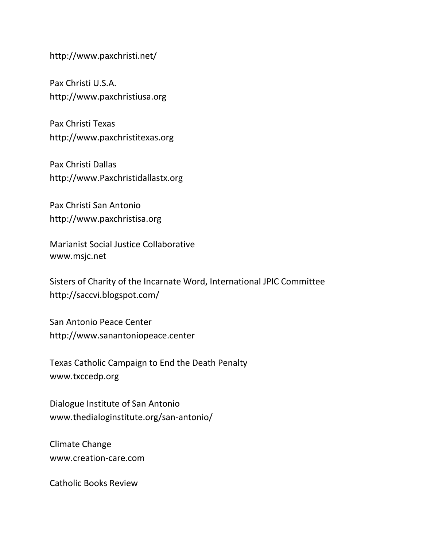<http://www.paxchristi.net/>

Pax Christi U.S.A. [http://www.paxchristiusa.org](http://www.paxchristiusa.org/)

Pax Christi Texas [http://www.paxchristitexas.org](http://www.paxchristitexas.org/)

Pax Christi Dallas [http://www.Paxchristidallastx.org](http://www.paxchristidallastx.org/)

Pax Christi San Antonio [http://www.paxchristisa.org](http://www.paxchristisa.org/)

Marianist Social Justice Collaborative [www.msjc.net](http://www.msjc.net/)

Sisters of Charity of the Incarnate Word, International JPIC Committee <http://saccvi.blogspot.com/>

San Antonio Peace Center [http://www.sanantoniopeace.center](http://www.sanantoniopeace.center/)

Texas Catholic Campaign to End the Death Penalty [www.txccedp.org](http://www.txccedp.org/)

Dialogue Institute of San Antonio [www.thedialoginstitute.org/san-antonio/](http://www.thedialoginstitute.org/san-antonio/)

Climate Change [www.creation-care.com](http://www.creation-care.com/)

Catholic Books Review